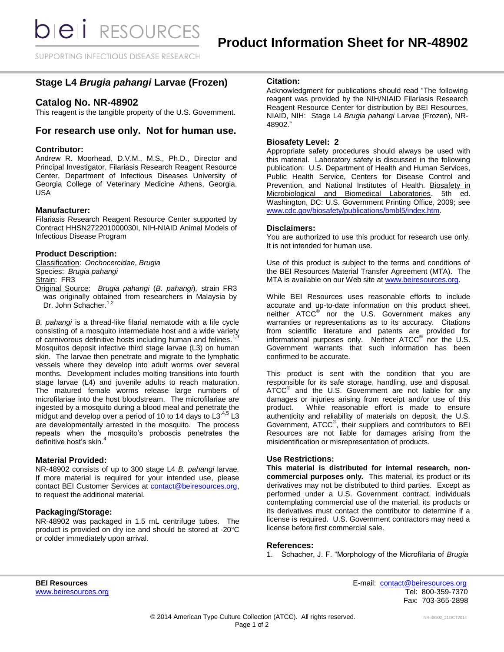SUPPORTING INFECTIOUS DISEASE RESEARCH

# **Stage L4** *Brugia pahangi* **Larvae (Frozen)**

# **Catalog No. NR-48902**

This reagent is the tangible property of the U.S. Government.

# **For research use only. Not for human use.**

### **Contributor:**

Andrew R. Moorhead, D.V.M., M.S., Ph.D., Director and Principal Investigator, Filariasis Research Reagent Resource Center, Department of Infectious Diseases University of Georgia College of Veterinary Medicine Athens, Georgia, USA

## **Manufacturer:**

Filariasis Research Reagent Resource Center supported by Contract HHSN272201000030I, NIH-NIAID Animal Models of Infectious Disease Program

## **Product Description:**

Classification: *Onchocercidae*, *Brugia* Species: *Brugia pahangi* Strain: FR3 Original Source: *Brugia pahangi* (*B. pahangi*)*,* strain FR3 was originally obtained from researchers in Malaysia by Dr. John Schacher.<sup>1,2</sup>

*B. pahangi* is a thread-like filarial nematode with a life cycle consisting of a mosquito intermediate host and a wide variety of carnivorous definitive hosts including human and felines. Mosquitos deposit infective third stage larvae (L3) on human skin. The larvae then penetrate and migrate to the lymphatic vessels where they develop into adult worms over several months. Development includes molting transitions into fourth stage larvae (L4) and juvenile adults to reach maturation. The matured female worms release large numbers of microfilariae into the host bloodstream. The microfilariae are ingested by a mosquito during a blood meal and penetrate the midgut and develop over a period of 10 to 14 days to L3<sup>.4,5</sup> L3 are developmentally arrested in the mosquito. The process repeats when the mosquito's proboscis penetrates the definitive host's skin.<sup>4</sup>

#### **Material Provided:**

NR-48902 consists of up to 300 stage L4 *B. pahangi* larvae*.*  If more material is required for your intended use, please contact BEI Customer Services at [contact@beiresources.org,](mailto:contact@beiresources.org) to request the additional material*.*

#### **Packaging/Storage:**

NR-48902 was packaged in 1.5 mL centrifuge tubes. The product is provided on dry ice and should be stored at -20°C or colder immediately upon arrival.

#### **Citation:**

Acknowledgment for publications should read "The following reagent was provided by the NIH/NIAID Filariasis Research Reagent Resource Center for distribution by BEI Resources, NIAID, NIH: Stage L4 *Brugia pahangi* Larvae (Frozen), NR-48902."

# **Biosafety Level: 2**

Appropriate safety procedures should always be used with this material. Laboratory safety is discussed in the following publication: U.S. Department of Health and Human Services, Public Health Service, Centers for Disease Control and Prevention, and National Institutes of Health. Biosafety in Microbiological and Biomedical Laboratories. 5th ed. Washington, DC: U.S. Government Printing Office, 2009; see [www.cdc.gov/biosafety/publications/bmbl5/index.htm.](http://www.cdc.gov/biosafety/publications/bmbl5/index.htm)

#### **Disclaimers:**

You are authorized to use this product for research use only. It is not intended for human use.

Use of this product is subject to the terms and conditions of the BEI Resources Material Transfer Agreement (MTA). The MTA is available on our Web site at [www.beiresources.org.](http://www.beiresources.org/)

While BEI Resources uses reasonable efforts to include accurate and up-to-date information on this product sheet, neither ATCC<sup>®</sup> nor the U.S. Government makes any warranties or representations as to its accuracy. Citations from scientific literature and patents are provided for informational purposes only. Neither  $\tt ATCC^@$  nor the U.S. Government warrants that such information has been confirmed to be accurate.

This product is sent with the condition that you are responsible for its safe storage, handling, use and disposal. ATCC<sup>®</sup> and the U.S. Government are not liable for any damages or injuries arising from receipt and/or use of this product. While reasonable effort is made to ensure authenticity and reliability of materials on deposit, the U.S. Government, ATCC® , their suppliers and contributors to BEI Resources are not liable for damages arising from the misidentification or misrepresentation of products.

#### **Use Restrictions:**

**This material is distributed for internal research, noncommercial purposes only.** This material, its product or its derivatives may not be distributed to third parties. Except as performed under a U.S. Government contract, individuals contemplating commercial use of the material, its products or its derivatives must contact the contributor to determine if a license is required. U.S. Government contractors may need a license before first commercial sale.

#### **References:**

1. Schacher, J. F. "Morphology of the Microfilaria of *Brugia* 

**BEI Resources** E-mail: [contact@beiresources.org](mailto:contact@beiresources.org) [www.beiresources.org](http://www.beiresources.org/)Tel: 800-359-7370 Fax: 703-365-2898